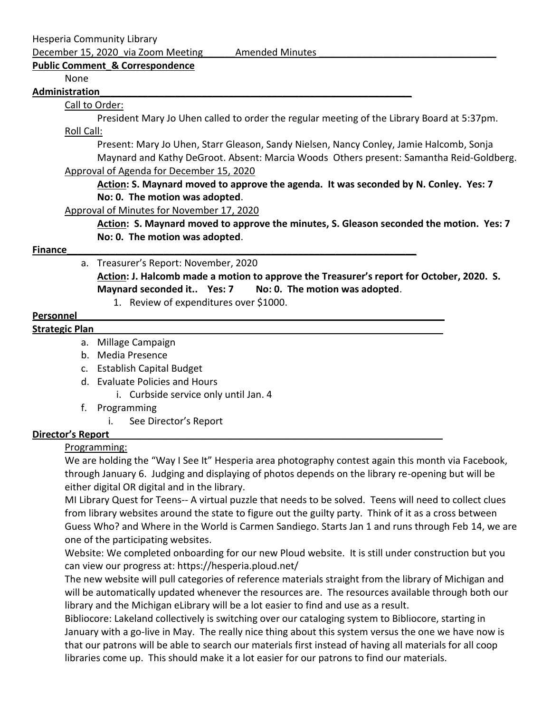Hesperia Community Library

December 15, 2020 via Zoom Meeting Amended Minutes

## **Public Comment\_& Correspondence**

### None

#### **Administration\_\_\_\_\_\_\_\_\_\_\_\_\_\_\_\_\_\_\_\_\_\_\_\_\_\_\_\_\_\_\_\_\_\_\_\_\_\_\_\_\_\_\_\_\_\_\_\_\_\_\_\_\_\_\_\_\_\_**

### Call to Order:

President Mary Jo Uhen called to order the regular meeting of the Library Board at 5:37pm. Roll Call:

Present: Mary Jo Uhen, Starr Gleason, Sandy Nielsen, Nancy Conley, Jamie Halcomb, Sonja Maynard and Kathy DeGroot. Absent: Marcia Woods Others present: Samantha Reid-Goldberg. Approval of Agenda for December 15, 2020

# **Action: S. Maynard moved to approve the agenda. It was seconded by N. Conley. Yes: 7 No: 0. The motion was adopted**.

Approval of Minutes for November 17, 2020

**Action: S. Maynard moved to approve the minutes, S. Gleason seconded the motion. Yes: 7 No: 0. The motion was adopted**.

## **Finance\_\_\_\_\_\_\_\_\_\_\_\_\_\_\_\_\_\_\_\_\_\_\_\_\_\_\_\_\_\_\_\_\_\_\_\_\_\_\_\_\_\_\_\_\_\_\_\_\_\_\_\_\_\_\_\_\_\_\_\_\_\_\_\_\_**

### a. Treasurer's Report: November, 2020

**Action: J. Halcomb made a motion to approve the Treasurer's report for October, 2020. S. Maynard seconded it.. Yes: 7 No: 0. The motion was adopted**.

1. Review of expenditures over \$1000.

## **Personnel**

### Strategic Plan

- a. Millage Campaign
- b. Media Presence
- c. Establish Capital Budget
- d. Evaluate Policies and Hours
	- i. Curbside service only until Jan. 4
- f. Programming
	- i. See Director's Report

# **Director's Report\_\_\_\_\_\_\_\_\_\_\_\_\_\_\_\_\_\_\_\_\_\_\_\_\_\_\_\_\_\_\_\_\_\_\_\_\_\_\_\_\_\_\_\_\_\_\_\_\_\_\_\_\_\_\_\_\_\_\_\_\_\_**

### Programming:

We are holding the "Way I See It" Hesperia area photography contest again this month via Facebook, through January 6. Judging and displaying of photos depends on the library re-opening but will be either digital OR digital and in the library.

MI Library Quest for Teens-- A virtual puzzle that needs to be solved. Teens will need to collect clues from library websites around the state to figure out the guilty party. Think of it as a cross between Guess Who? and Where in the World is Carmen Sandiego. Starts Jan 1 and runs through Feb 14, we are one of the participating websites.

Website: We completed onboarding for our new Ploud website. It is still under construction but you can view our progress at: https://hesperia.ploud.net/

The new website will pull categories of reference materials straight from the library of Michigan and will be automatically updated whenever the resources are. The resources available through both our library and the Michigan eLibrary will be a lot easier to find and use as a result.

Bibliocore: Lakeland collectively is switching over our cataloging system to Bibliocore, starting in January with a go-live in May. The really nice thing about this system versus the one we have now is that our patrons will be able to search our materials first instead of having all materials for all coop libraries come up. This should make it a lot easier for our patrons to find our materials.